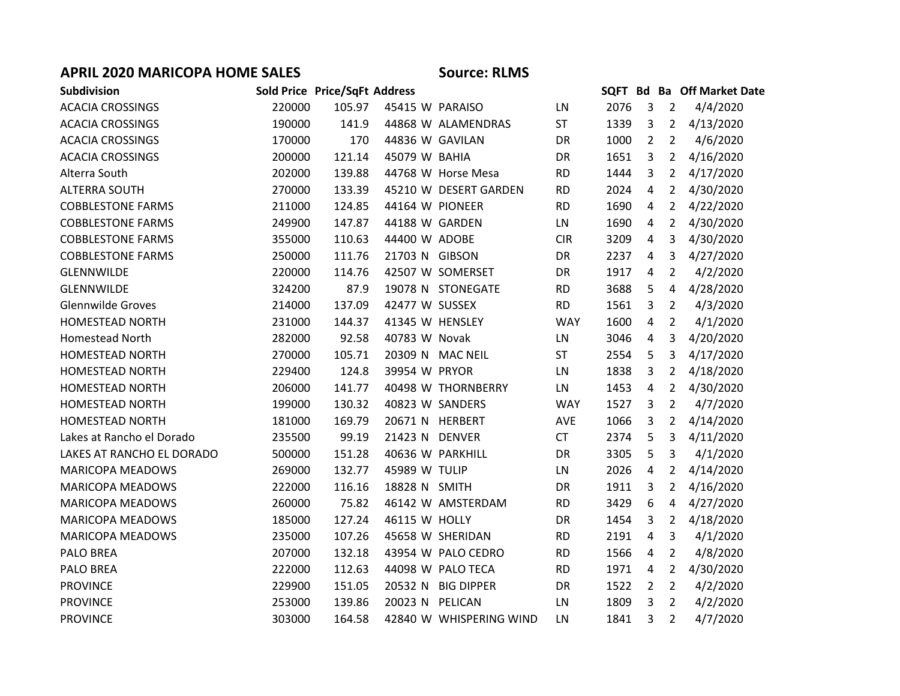## **APRIL 2020 MARICOPA HOME SALES Source: RLMS**

| <b>Subdivision</b>        |        | Sold Price Price/SqFt Address |                 |                         |            |      |                |                | SQFT Bd Ba Off Market Date |
|---------------------------|--------|-------------------------------|-----------------|-------------------------|------------|------|----------------|----------------|----------------------------|
| <b>ACACIA CROSSINGS</b>   | 220000 | 105.97                        | 45415 W PARAISO |                         | LN         | 2076 | $\overline{3}$ | $\overline{2}$ | 4/4/2020                   |
| <b>ACACIA CROSSINGS</b>   | 190000 | 141.9                         |                 | 44868 W ALAMENDRAS      | <b>ST</b>  | 1339 | 3              | $\overline{2}$ | 4/13/2020                  |
| <b>ACACIA CROSSINGS</b>   | 170000 | 170                           | 44836 W GAVILAN |                         | <b>DR</b>  | 1000 | $\overline{2}$ | $\overline{2}$ | 4/6/2020                   |
| <b>ACACIA CROSSINGS</b>   | 200000 | 121.14                        | 45079 W BAHIA   |                         | <b>DR</b>  | 1651 | $\overline{3}$ | $\overline{2}$ | 4/16/2020                  |
| Alterra South             | 202000 | 139.88                        |                 | 44768 W Horse Mesa      | <b>RD</b>  | 1444 | 3              | $2^{\circ}$    | 4/17/2020                  |
| <b>ALTERRA SOUTH</b>      | 270000 | 133.39                        |                 | 45210 W DESERT GARDEN   | <b>RD</b>  | 2024 | 4              | $\overline{2}$ | 4/30/2020                  |
| <b>COBBLESTONE FARMS</b>  | 211000 | 124.85                        | 44164 W PIONEER |                         | <b>RD</b>  | 1690 | 4              | $\overline{2}$ | 4/22/2020                  |
| <b>COBBLESTONE FARMS</b>  | 249900 | 147.87                        | 44188 W GARDEN  |                         | LN         | 1690 | $\overline{4}$ | $\overline{2}$ | 4/30/2020                  |
| <b>COBBLESTONE FARMS</b>  | 355000 | 110.63                        | 44400 W ADOBE   |                         | <b>CIR</b> | 3209 | 4              | 3              | 4/30/2020                  |
| <b>COBBLESTONE FARMS</b>  | 250000 | 111.76                        | 21703 N GIBSON  |                         | DR         | 2237 | $\overline{4}$ | 3              | 4/27/2020                  |
| GLENNWILDE                | 220000 | 114.76                        |                 | 42507 W SOMERSET        | DR         | 1917 | 4              | $\overline{2}$ | 4/2/2020                   |
| <b>GLENNWILDE</b>         | 324200 | 87.9                          |                 | 19078 N STONEGATE       | <b>RD</b>  | 3688 | 5              | 4              | 4/28/2020                  |
| <b>Glennwilde Groves</b>  | 214000 | 137.09                        | 42477 W SUSSEX  |                         | <b>RD</b>  | 1561 | $\overline{3}$ | $\overline{2}$ | 4/3/2020                   |
| <b>HOMESTEAD NORTH</b>    | 231000 | 144.37                        | 41345 W HENSLEY |                         | <b>WAY</b> | 1600 | 4              | $\overline{2}$ | 4/1/2020                   |
| <b>Homestead North</b>    | 282000 | 92.58                         | 40783 W Novak   |                         | LN         | 3046 | $\overline{4}$ | $\mathbf{3}$   | 4/20/2020                  |
| <b>HOMESTEAD NORTH</b>    | 270000 | 105.71                        |                 | 20309 N MAC NEIL        | ST         | 2554 | 5              | 3              | 4/17/2020                  |
| HOMESTEAD NORTH           | 229400 | 124.8                         | 39954 W PRYOR   |                         | LN         | 1838 | 3              | $\overline{2}$ | 4/18/2020                  |
| HOMESTEAD NORTH           | 206000 | 141.77                        |                 | 40498 W THORNBERRY      | LN         | 1453 | 4              | $\overline{2}$ | 4/30/2020                  |
| <b>HOMESTEAD NORTH</b>    | 199000 | 130.32                        |                 | 40823 W SANDERS         | <b>WAY</b> | 1527 | 3              | $\overline{2}$ | 4/7/2020                   |
| <b>HOMESTEAD NORTH</b>    | 181000 | 169.79                        |                 | 20671 N HERBERT         | AVE        | 1066 | $\overline{3}$ | $\overline{2}$ | 4/14/2020                  |
| Lakes at Rancho el Dorado | 235500 | 99.19                         | 21423 N DENVER  |                         | <b>CT</b>  | 2374 | 5              | 3              | 4/11/2020                  |
| LAKES AT RANCHO EL DORADO | 500000 | 151.28                        |                 | 40636 W PARKHILL        | DR         | 3305 | 5              | 3              | 4/1/2020                   |
| <b>MARICOPA MEADOWS</b>   | 269000 | 132.77                        | 45989 W TULIP   |                         | LN         | 2026 | 4              | $2^{\circ}$    | 4/14/2020                  |
| <b>MARICOPA MEADOWS</b>   | 222000 | 116.16                        | 18828 N SMITH   |                         | <b>DR</b>  | 1911 | 3              | $\overline{2}$ | 4/16/2020                  |
| <b>MARICOPA MEADOWS</b>   | 260000 | 75.82                         |                 | 46142 W AMSTERDAM       | <b>RD</b>  | 3429 | 6              | 4              | 4/27/2020                  |
| <b>MARICOPA MEADOWS</b>   | 185000 | 127.24                        | 46115 W HOLLY   |                         | DR         | 1454 | 3              | $\overline{2}$ | 4/18/2020                  |
| MARICOPA MEADOWS          | 235000 | 107.26                        |                 | 45658 W SHERIDAN        | <b>RD</b>  | 2191 | $\overline{4}$ | 3              | 4/1/2020                   |
| PALO BREA                 | 207000 | 132.18                        |                 | 43954 W PALO CEDRO      | <b>RD</b>  | 1566 | 4              | $\overline{2}$ | 4/8/2020                   |
| PALO BREA                 | 222000 | 112.63                        |                 | 44098 W PALO TECA       | <b>RD</b>  | 1971 | 4              | $\overline{2}$ | 4/30/2020                  |
| <b>PROVINCE</b>           | 229900 | 151.05                        |                 | 20532 N BIG DIPPER      | DR         | 1522 | $\overline{2}$ | $\overline{2}$ | 4/2/2020                   |
| <b>PROVINCE</b>           | 253000 | 139.86                        | 20023 N PELICAN |                         | LN         | 1809 | 3              | $\overline{2}$ | 4/2/2020                   |
| <b>PROVINCE</b>           | 303000 | 164.58                        |                 | 42840 W WHISPERING WIND | LN         | 1841 | 3              | $\overline{2}$ | 4/7/2020                   |